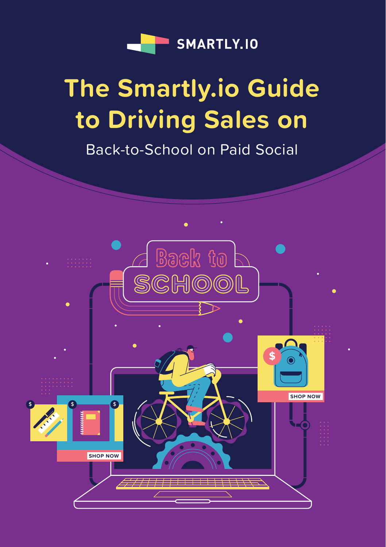

### **The Smartly.io Guide to Driving Sales on**

Back-to-School on Paid Social

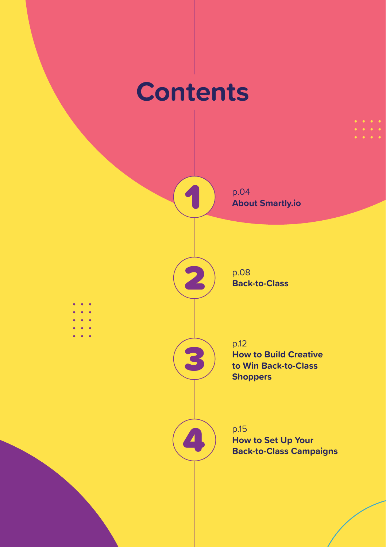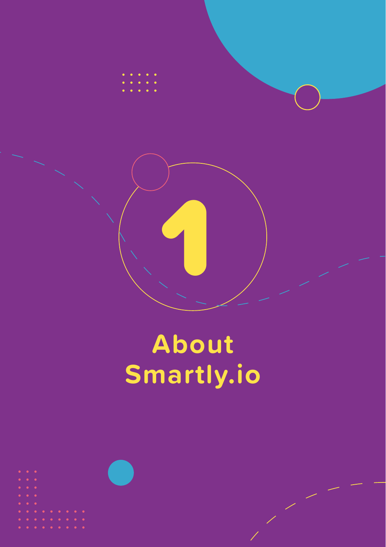

# **About Smartly.io**

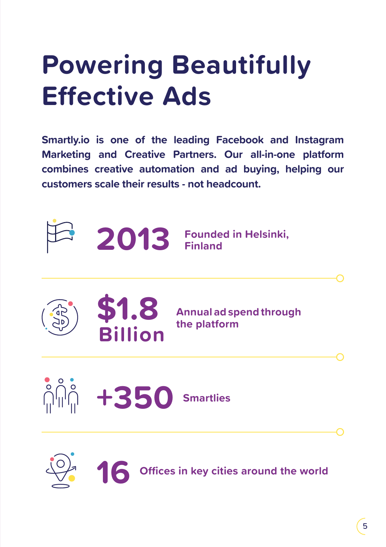# **Powering Beautifully Effective Ads**

**Smartly.io is one of the leading Facebook and Instagram Marketing and Creative Partners. Our all-in-one platform combines creative automation and ad buying, helping our customers scale their results - not headcount.** 





**16**



**Offices in key cities around the world**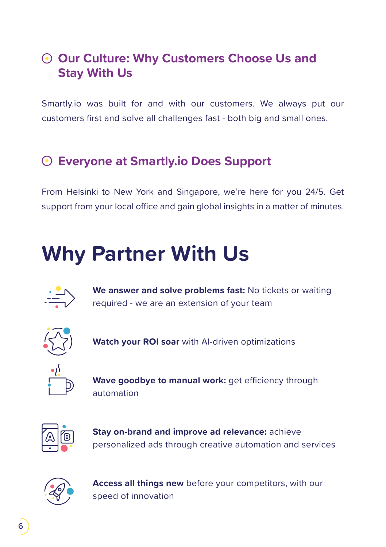#### **Our Culture: Why Customers Choose Us and Stay With Us**

Smartly.io was built for and with our customers. We always put our customers first and solve all challenges fast - both big and small ones.

#### **Everyone at Smartly.io Does Support**

From Helsinki to New York and Singapore, we're here for you 24/5. Get support from your local office and gain global insights in a matter of minutes.

### **Why Partner With Us**



**We answer and solve problems fast:** No tickets or waiting required - we are an extension of your team



**Watch your ROI soar** with AI-driven optimizations



**Wave goodbye to manual work:** get efficiency through automation



**Stay on-brand and improve ad relevance:** achieve personalized ads through creative automation and services



**Access all things new** before your competitors, with our speed of innovation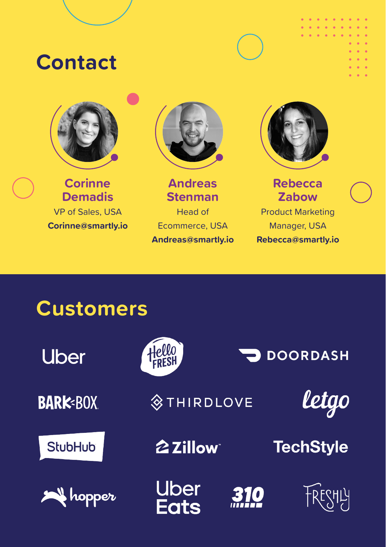### **Contact**



**Corinne Demadis** VP of Sales, USA **Corinne@smartly.io**



**Andreas Stenman** Head of Ecommerce, USA **Andreas@smartly.io**



**Rebecca Zabow**

Product Marketing Manager, USA **Rebecca@smartly.io**

### **Customers**

| <b>Uber</b>     | Hello<br>FRESH        |     | <b>DOORDASH</b>  |
|-----------------|-----------------------|-----|------------------|
| <b>BARK-BOX</b> | <b>STHIRDLOVE</b>     |     | letgo            |
| <b>StubHub</b>  | 2 Zillow <sup>-</sup> |     | <b>TechStyle</b> |
| <b>A</b> hopper | Uber<br><b>Eats</b>   | 310 | TRESHLY          |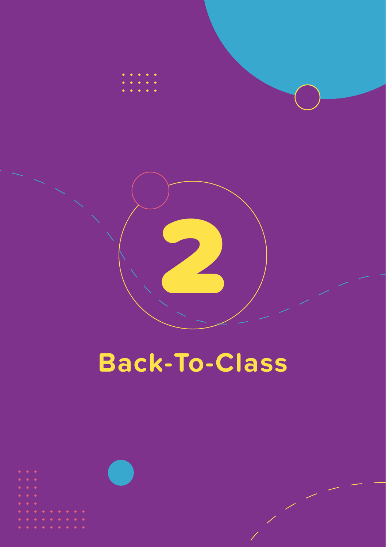

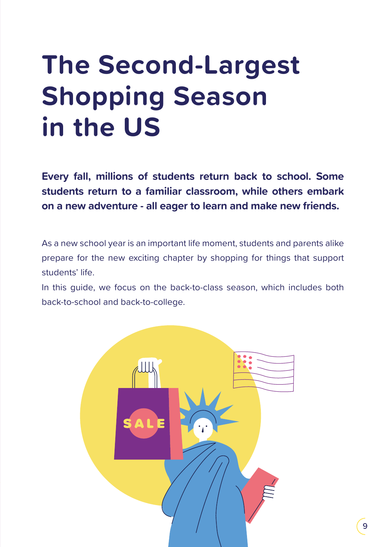### **The Second-Largest Shopping Season in the US**

**Every fall, millions of students return back to school. Some students return to a familiar classroom, while others embark on a new adventure - all eager to learn and make new friends.**

As a new school year is an important life moment, students and parents alike prepare for the new exciting chapter by shopping for things that support students' life.

In this guide, we focus on the back-to-class season, which includes both back-to-school and back-to-college.

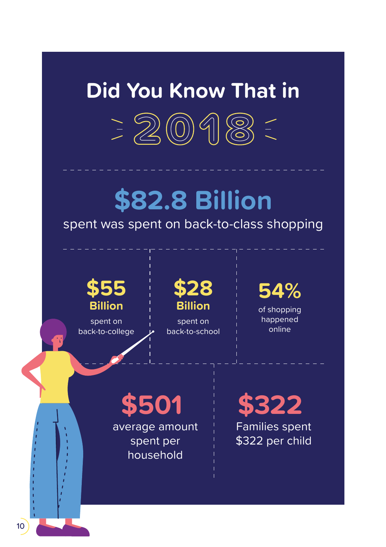### **Did You Know That in**



### **\$82.8 Billion**

#### spent was spent on back-to-class shopping



spent on back-to-college **\$28 Billion**

spent on back-to-school **54%**

of shopping happened online

**\$501**  average amount spent per household

**\$322**  Families spent \$322 per child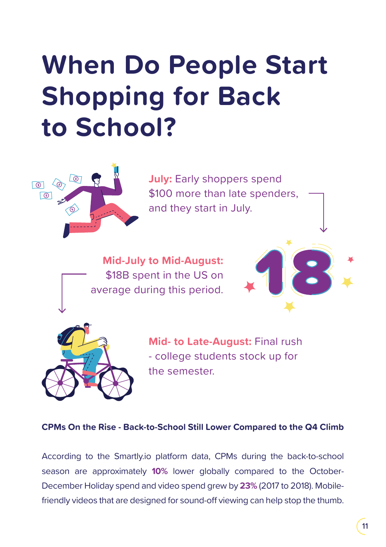# **When Do People Start Shopping for Back to School?**



**July: Early shoppers spend** \$100 more than late spenders, and they start in July.

**Mid-July to Mid-August:** \$18B spent in the US on average during this period.





**Mid- to Late-August:** Final rush - college students stock up for the semester.

#### **CPMs On the Rise - Back-to-School Still Lower Compared to the Q4 Climb**

According to the Smartly.io platform data, CPMs during the back-to-school season are approximately **10%** lower globally compared to the October-December Holiday spend and video spend grew by **23%** (2017 to 2018). Mobilefriendly videos that are designed for sound-off viewing can help stop the thumb.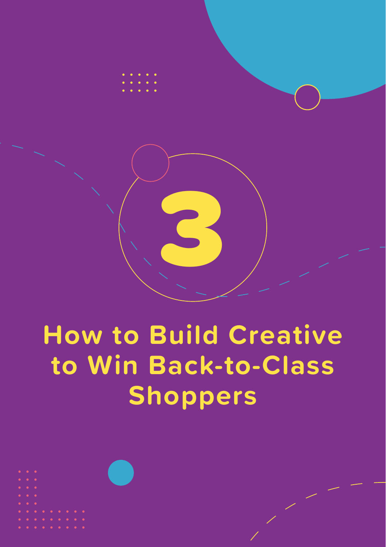

# **How to Build Creative to Win Back-to-Class Shoppers**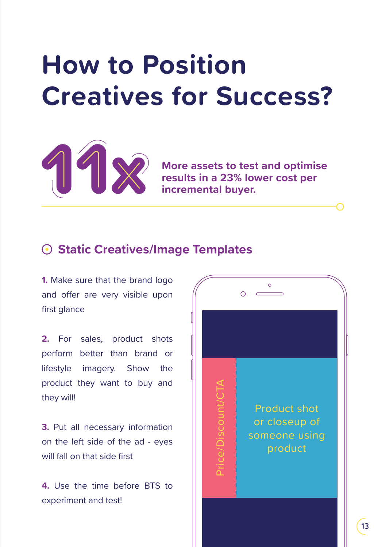### **How to Position Creatives for Success?**



**More assets to test and optimise results in a 23% lower cost per incremental buyer.**

#### **Static Creatives/Image Templates**

**1.** Make sure that the brand logo and offer are very visible upon first glance

2. For sales, product shots perform better than brand or lifestyle imagery. Show the product they want to buy and they will!

**3.** Put all necessary information on the left side of the ad - eyes will fall on that side first

**4.** Use the time before BTS to experiment and test!

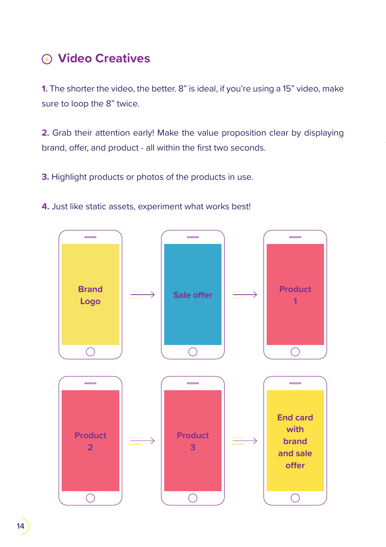#### **Video Creatives**

**1.** The shorter the video, the better. 8" is ideal, if you're using a 15" video, make sure to loop the 8" twice.

**2.** Grab their attention early! Make the value proposition clear by displaying brand, offer, and product - all within the first two seconds.

**3.** Highlight products or photos of the products in use.

**4.** Just like static assets, experiment what works best!

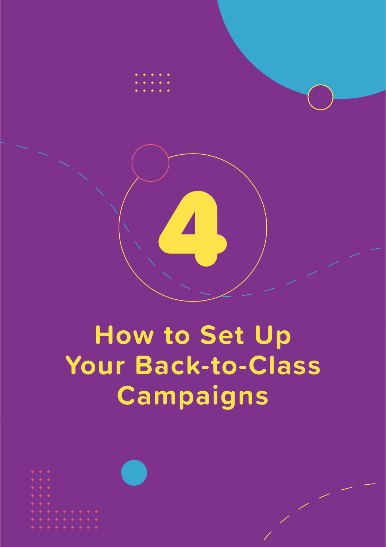

# **How to Set Up Your Back-to-Class Campaigns**

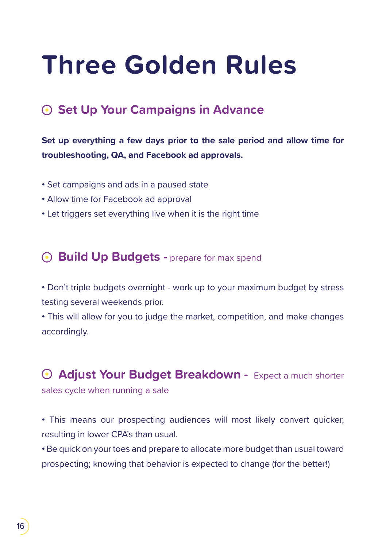### **Three Golden Rules**

#### **Set Up Your Campaigns in Advance**

#### **Set up everything a few days prior to the sale period and allow time for troubleshooting, QA, and Facebook ad approvals.**

- **•** Set campaigns and ads in a paused state
- **•** Allow time for Facebook ad approval
- **•** Let triggers set everything live when it is the right time

#### **• Build Up Budgets -** prepare for max spend

**•** Don't triple budgets overnight - work up to your maximum budget by stress testing several weekends prior.

**•** This will allow for you to judge the market, competition, and make changes accordingly.

 **Adjust Your Budget Breakdown -** Expect a much shorter sales cycle when running a sale

**•** This means our prospecting audiences will most likely convert quicker, resulting in lower CPA's than usual.

**•** Be quick on your toes and prepare to allocate more budget than usual toward prospecting; knowing that behavior is expected to change (for the better!)